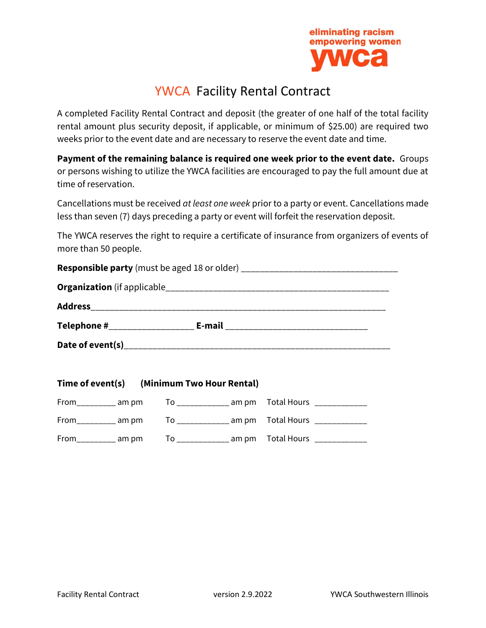

# YWCA Facility Rental Contract

A completed Facility Rental Contract and deposit (the greater of one half of the total facility rental amount plus security deposit, if applicable, or minimum of \$25.00) are required two weeks prior to the event date and are necessary to reserve the event date and time.

**Payment of the remaining balance is required one week prior to the event date.** Groups or persons wishing to utilize the YWCA facilities are encouraged to pay the full amount due at time of reservation.

Cancellations must be received *at least one week* prior to a party or event. Cancellations made less than seven (7) days preceding a party or event will forfeit the reservation deposit.

The YWCA reserves the right to require a certificate of insurance from organizers of events of more than 50 people.

|                                | <b>Responsible party</b> (must be aged 18 or older) ___________________________________ |
|--------------------------------|-----------------------------------------------------------------------------------------|
|                                |                                                                                         |
|                                |                                                                                         |
| Telephone #___________________ |                                                                                         |
|                                |                                                                                         |
|                                |                                                                                         |

|                             | Time of event(s) (Minimum Two Hour Rental)                             |  |
|-----------------------------|------------------------------------------------------------------------|--|
|                             | From_________ am pm    To ___________ am pm   Total Hours ____________ |  |
|                             | From_________ am pm    To ___________ am pm   Total Hours ____________ |  |
| $From$ ______________ am pm |                                                                        |  |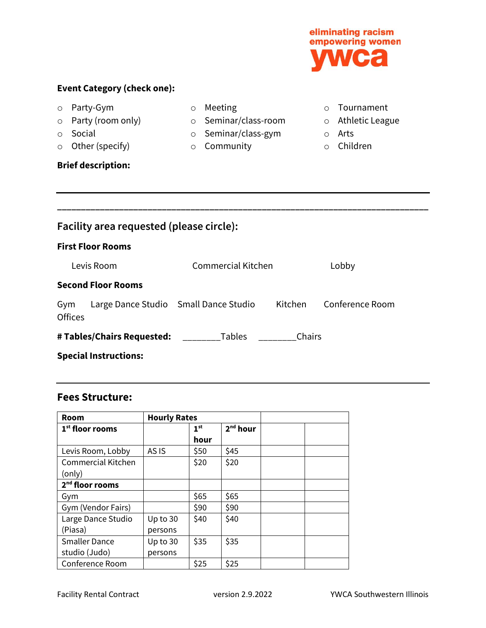### **Event Category (check one):**

- o Party-Gym
- o Party (room only) o Seminar/class-room o Athletic League
- o Social
- o Other (specify)

**Brief description:**

- o Meeting
	-

**\_\_\_\_\_\_\_\_\_\_\_\_\_\_\_\_\_\_\_\_\_\_\_\_\_\_\_\_\_\_\_\_\_\_\_\_\_\_\_\_\_\_\_\_\_\_\_\_\_\_\_\_\_\_\_\_\_\_\_\_\_\_\_\_\_\_\_\_\_\_\_\_\_\_\_\_\_\_**

- o Seminar/class-gym
- o Community
- o Tournament
- 
- o Arts
- o Children

**Facility area requested (please circle): First Floor Rooms** Levis Room Commercial Kitchen Lobby **Second Floor Rooms** Gym Large Dance Studio Small Dance Studio Kitchen Conference Room

| <b>Offices</b>             |               |        |
|----------------------------|---------------|--------|
| # Tables/Chairs Requested: | <b>Tables</b> | Chairs |

**Special Instructions:**

### **Fees Structure:**

| <b>Room</b>                 | <b>Hourly Rates</b> |                 |                      |  |
|-----------------------------|---------------------|-----------------|----------------------|--|
| $1st$ floor rooms           |                     | 1 <sup>st</sup> | 2 <sup>nd</sup> hour |  |
|                             |                     | hour            |                      |  |
| Levis Room, Lobby           | AS IS               | \$50            | \$45                 |  |
| <b>Commercial Kitchen</b>   |                     | \$20            | \$20                 |  |
| (only)                      |                     |                 |                      |  |
| 2 <sup>nd</sup> floor rooms |                     |                 |                      |  |
| Gym                         |                     | \$65            | \$65                 |  |
| Gym (Vendor Fairs)          |                     | \$90            | \$90                 |  |
| Large Dance Studio          | Up to $30$          | \$40            | \$40                 |  |
| (Piasa)                     | persons             |                 |                      |  |
| <b>Smaller Dance</b>        | Up to $30$          | \$35            | \$35                 |  |
| studio (Judo)               | persons             |                 |                      |  |
| Conference Room             |                     | \$25            | \$25                 |  |

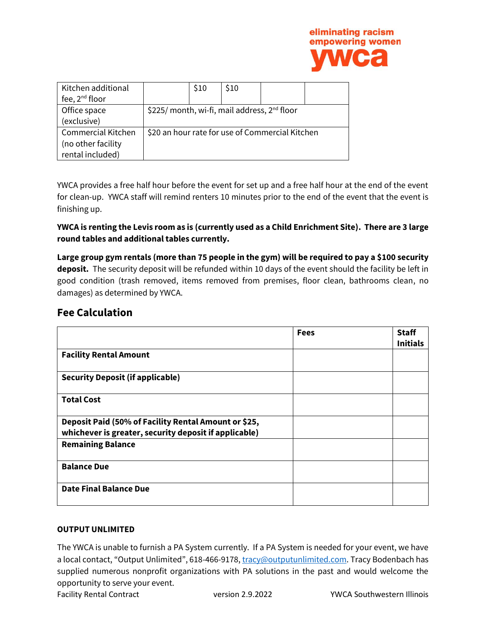

| Kitchen additional        |                                                          | \$10 | S <sub>10</sub> |  |
|---------------------------|----------------------------------------------------------|------|-----------------|--|
| fee, $2^{nd}$ floor       |                                                          |      |                 |  |
| Office space              | \$225/ month, wi-fi, mail address, 2 <sup>nd</sup> floor |      |                 |  |
| (exclusive)               |                                                          |      |                 |  |
| <b>Commercial Kitchen</b> | \$20 an hour rate for use of Commercial Kitchen          |      |                 |  |
| (no other facility        |                                                          |      |                 |  |
| rental included)          |                                                          |      |                 |  |

YWCA provides a free half hour before the event for set up and a free half hour at the end of the event for clean-up. YWCA staff will remind renters 10 minutes prior to the end of the event that the event is finishing up.

#### **YWCA is renting the Levis room as is (currently used as a Child Enrichment Site). There are 3 large round tables and additional tables currently.**

**Large group gym rentals (more than 75 people in the gym) will be required to pay a \$100 security deposit.** The security deposit will be refunded within 10 days of the event should the facility be left in good condition (trash removed, items removed from premises, floor clean, bathrooms clean, no damages) as determined by YWCA.

#### **Fee Calculation**

|                                                                                                               | <b>Fees</b> | <b>Staff</b><br><b>Initials</b> |
|---------------------------------------------------------------------------------------------------------------|-------------|---------------------------------|
| <b>Facility Rental Amount</b>                                                                                 |             |                                 |
| <b>Security Deposit (if applicable)</b>                                                                       |             |                                 |
| <b>Total Cost</b>                                                                                             |             |                                 |
| Deposit Paid (50% of Facility Rental Amount or \$25,<br>whichever is greater, security deposit if applicable) |             |                                 |
| <b>Remaining Balance</b>                                                                                      |             |                                 |
| <b>Balance Due</b>                                                                                            |             |                                 |
| <b>Date Final Balance Due</b>                                                                                 |             |                                 |

#### **OUTPUT UNLIMITED**

The YWCA is unable to furnish a PA System currently. If a PA System is needed for your event, we have a local contact, "Output Unlimited", 618-466-9178[, tracy@outputunlimited.com.](mailto:tracy@outputunlimited.com) Tracy Bodenbach has supplied numerous nonprofit organizations with PA solutions in the past and would welcome the opportunity to serve your event.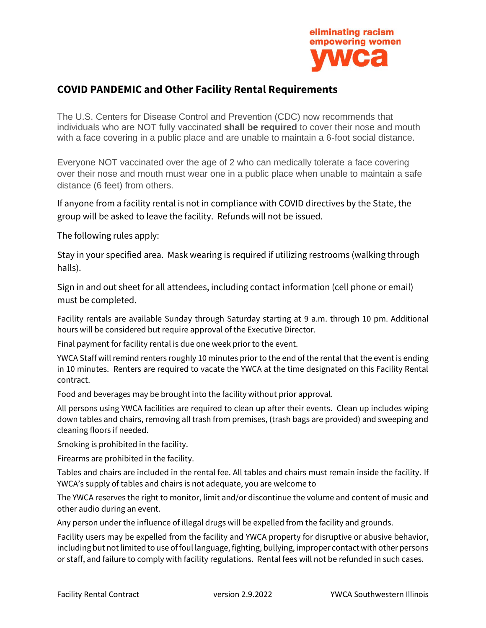

## **COVID PANDEMIC and Other Facility Rental Requirements**

The U.S. Centers for Disease Control and Prevention (CDC) now recommends that individuals who are NOT fully vaccinated **shall be required** to cover their nose and mouth with a face covering in a public place and are unable to maintain a 6-foot social distance.

Everyone NOT vaccinated over the age of 2 who can medically tolerate a face covering over their nose and mouth must wear one in a public place when unable to maintain a safe distance (6 feet) from others.

If anyone from a facility rental is not in compliance with COVID directives by the State, the group will be asked to leave the facility. Refunds will not be issued.

The following rules apply:

Stay in your specified area. Mask wearing is required if utilizing restrooms (walking through halls).

Sign in and out sheet for all attendees, including contact information (cell phone or email) must be completed.

Facility rentals are available Sunday through Saturday starting at 9 a.m. through 10 pm. Additional hours will be considered but require approval of the Executive Director.

Final payment for facility rental is due one week prior to the event.

YWCA Staff will remind renters roughly 10 minutes prior to the end of the rental that the event is ending in 10 minutes. Renters are required to vacate the YWCA at the time designated on this Facility Rental contract.

Food and beverages may be brought into the facility without prior approval.

All persons using YWCA facilities are required to clean up after their events. Clean up includes wiping down tables and chairs, removing all trash from premises, (trash bags are provided) and sweeping and cleaning floors if needed.

Smoking is prohibited in the facility.

Firearms are prohibited in the facility.

Tables and chairs are included in the rental fee. All tables and chairs must remain inside the facility. If YWCA's supply of tables and chairs is not adequate, you are welcome to

The YWCA reserves the right to monitor, limit and/or discontinue the volume and content of music and other audio during an event.

Any person under the influence of illegal drugs will be expelled from the facility and grounds.

Facility users may be expelled from the facility and YWCA property for disruptive or abusive behavior, including but not limited to use of foul language, fighting, bullying, improper contact with other persons or staff, and failure to comply with facility regulations. Rental fees will not be refunded in such cases.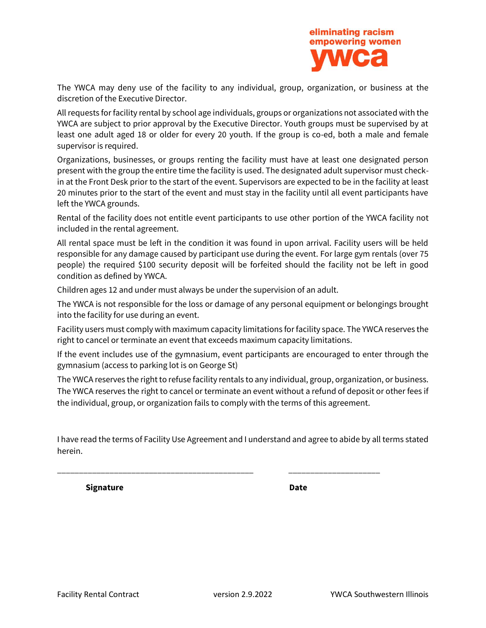

The YWCA may deny use of the facility to any individual, group, organization, or business at the discretion of the Executive Director.

All requests for facility rental by school age individuals, groups or organizations not associated with the YWCA are subject to prior approval by the Executive Director. Youth groups must be supervised by at least one adult aged 18 or older for every 20 youth. If the group is co-ed, both a male and female supervisor is required.

Organizations, businesses, or groups renting the facility must have at least one designated person present with the group the entire time the facility is used. The designated adult supervisor must checkin at the Front Desk prior to the start of the event. Supervisors are expected to be in the facility at least 20 minutes prior to the start of the event and must stay in the facility until all event participants have left the YWCA grounds.

Rental of the facility does not entitle event participants to use other portion of the YWCA facility not included in the rental agreement.

All rental space must be left in the condition it was found in upon arrival. Facility users will be held responsible for any damage caused by participant use during the event. For large gym rentals (over 75 people) the required \$100 security deposit will be forfeited should the facility not be left in good condition as defined by YWCA.

Children ages 12 and under must always be under the supervision of an adult.

The YWCA is not responsible for the loss or damage of any personal equipment or belongings brought into the facility for use during an event.

Facility users must comply with maximum capacity limitations for facility space. The YWCA reserves the right to cancel or terminate an event that exceeds maximum capacity limitations.

If the event includes use of the gymnasium, event participants are encouraged to enter through the gymnasium (access to parking lot is on George St)

The YWCA reserves the right to refuse facility rentals to any individual, group, organization, or business. The YWCA reserves the right to cancel or terminate an event without a refund of deposit or other fees if the individual, group, or organization fails to comply with the terms of this agreement.

I have read the terms of Facility Use Agreement and I understand and agree to abide by all terms stated herein.

\_\_\_\_\_\_\_\_\_\_\_\_\_\_\_\_\_\_\_\_\_\_\_\_\_\_\_\_\_\_\_\_\_\_\_\_\_\_\_\_\_\_\_\_\_ \_\_\_\_\_\_\_\_\_\_\_\_\_\_\_\_\_\_\_\_\_

**Signature Date**